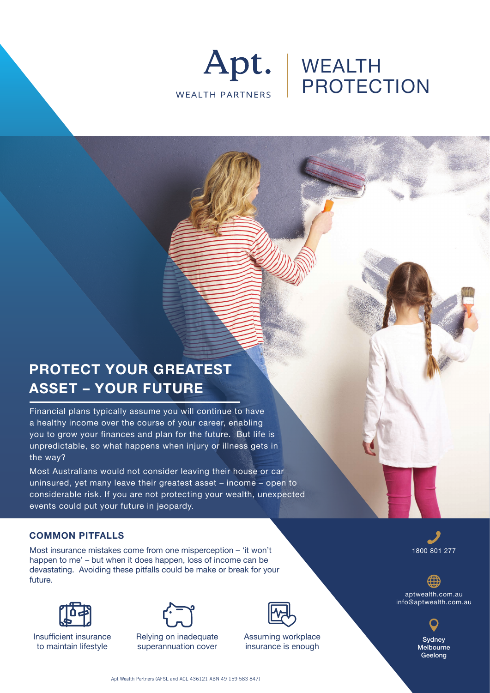

# WEALTH PROTECTION

# **PROTECT YOUR GREATEST ASSET – YOUR FUTURE**

Financial plans typically assume you will continue to have a healthy income over the course of your career, enabling you to grow your finances and plan for the future. But life is unpredictable, so what happens when injury or illness gets in the way?

Most Australians would not consider leaving their house or car uninsured, yet many leave their greatest asset – income – open to considerable risk. If you are not protecting your wealth, unexpected events could put your future in jeopardy.

### **COMMON PITFALLS**

Most insurance mistakes come from one misperception – 'it won't happen to me' – but when it does happen, loss of income can be devastating. Avoiding these pitfalls could be make or break for your future.



Insufficient insurance to maintain lifestyle



Relying on inadequate superannuation cover



Assuming workplace insurance is enough

1800 801 277

aptwealth.com.au info@aptwealth.com.au



Apt Wealth Partners (AFSL and ACL 436121 ABN 49 159 583 847)